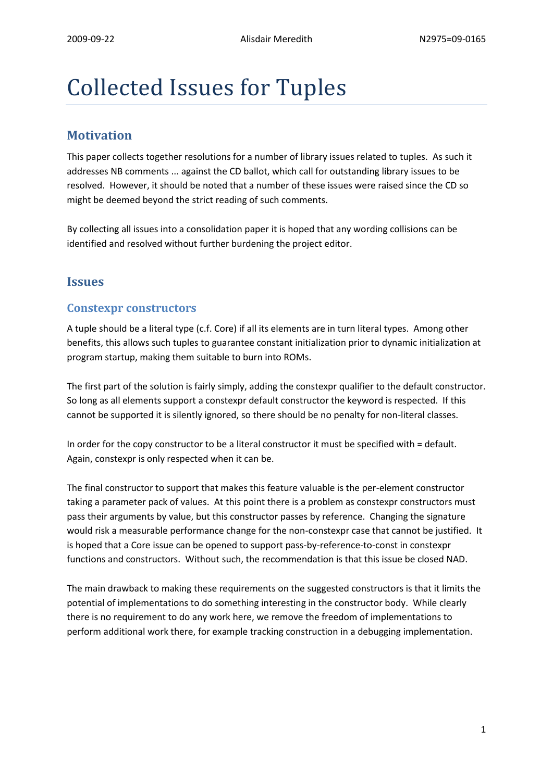# Collected Issues for Tuples

# **Motivation**

This paper collects together resolutions for a number of library issues related to tuples. As such it addresses NB comments ... against the CD ballot, which call for outstanding library issues to be resolved. However, it should be noted that a number of these issues were raised since the CD so might be deemed beyond the strict reading of such comments.

By collecting all issues into a consolidation paper it is hoped that any wording collisions can be identified and resolved without further burdening the project editor.

# **Issues**

# **Constexpr constructors**

A tuple should be a literal type (c.f. Core) if all its elements are in turn literal types. Among other benefits, this allows such tuples to guarantee constant initialization prior to dynamic initialization at program startup, making them suitable to burn into ROMs.

The first part of the solution is fairly simply, adding the constexpr qualifier to the default constructor. So long as all elements support a constexpr default constructor the keyword is respected. If this cannot be supported it is silently ignored, so there should be no penalty for non-literal classes.

In order for the copy constructor to be a literal constructor it must be specified with = default. Again, constexpr is only respected when it can be.

The final constructor to support that makes this feature valuable is the per-element constructor taking a parameter pack of values. At this point there is a problem as constexpr constructors must pass their arguments by value, but this constructor passes by reference. Changing the signature would risk a measurable performance change for the non-constexpr case that cannot be justified. It is hoped that a Core issue can be opened to support pass-by-reference-to-const in constexpr functions and constructors. Without such, the recommendation is that this issue be closed NAD.

The main drawback to making these requirements on the suggested constructors is that it limits the potential of implementations to do something interesting in the constructor body. While clearly there is no requirement to do any work here, we remove the freedom of implementations to perform additional work there, for example tracking construction in a debugging implementation.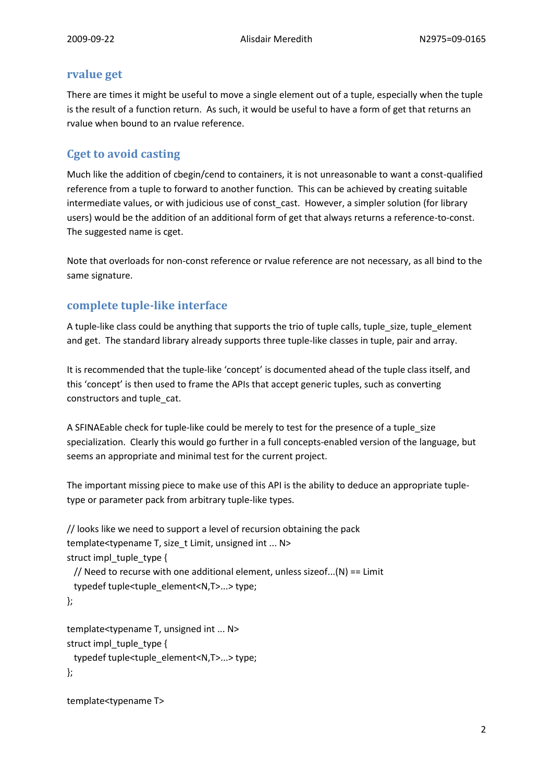## **rvalue get**

There are times it might be useful to move a single element out of a tuple, especially when the tuple is the result of a function return. As such, it would be useful to have a form of get that returns an rvalue when bound to an rvalue reference.

# **Cget to avoid casting**

Much like the addition of cbegin/cend to containers, it is not unreasonable to want a const-qualified reference from a tuple to forward to another function. This can be achieved by creating suitable intermediate values, or with judicious use of const cast. However, a simpler solution (for library users) would be the addition of an additional form of get that always returns a reference-to-const. The suggested name is cget.

Note that overloads for non-const reference or rvalue reference are not necessary, as all bind to the same signature.

# **complete tuple-like interface**

A tuple-like class could be anything that supports the trio of tuple calls, tuple\_size, tuple\_element and get. The standard library already supports three tuple-like classes in tuple, pair and array.

It is recommended that the tuple-like 'concept' is documented ahead of the tuple class itself, and this 'concept' is then used to frame the APIs that accept generic tuples, such as converting constructors and tuple\_cat.

A SFINAEable check for tuple-like could be merely to test for the presence of a tuple\_size specialization. Clearly this would go further in a full concepts-enabled version of the language, but seems an appropriate and minimal test for the current project.

The important missing piece to make use of this API is the ability to deduce an appropriate tupletype or parameter pack from arbitrary tuple-like types.

```
// looks like we need to support a level of recursion obtaining the pack
template<typename T, size_t Limit, unsigned int ... N>
struct impl_tuple_type {
 // Need to recurse with one additional element, unless sizeof...(N) == Limit
  typedef tuple<tuple_element<N,T>...> type;
};
template<typename T, unsigned int ... N>
struct impl_tuple_type {
  typedef tuple<tuple_element<N,T>...> type;
```
};

```
template<typename T>
```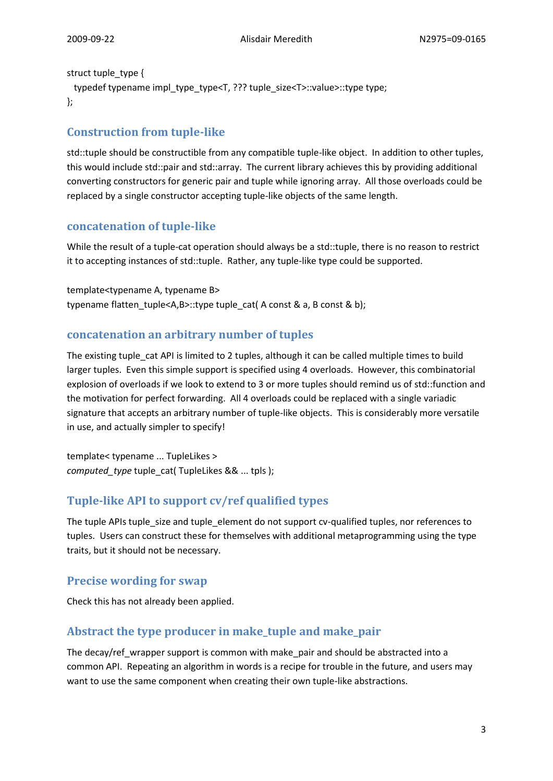#### struct tuple\_type {

```
typedef typename impl_type_type<T, ??? tuple_size<T>::value>::type type;
};
```
# **Construction from tuple-like**

std::tuple should be constructible from any compatible tuple-like object. In addition to other tuples, this would include std::pair and std::array. The current library achieves this by providing additional converting constructors for generic pair and tuple while ignoring array. All those overloads could be replaced by a single constructor accepting tuple-like objects of the same length.

## **concatenation of tuple-like**

While the result of a tuple-cat operation should always be a std::tuple, there is no reason to restrict it to accepting instances of std::tuple. Rather, any tuple-like type could be supported.

template<typename A, typename B> typename flatten\_tuple<A,B>::type tuple\_cat( A const & a, B const & b);

# **concatenation an arbitrary number of tuples**

The existing tuple\_cat API is limited to 2 tuples, although it can be called multiple times to build larger tuples. Even this simple support is specified using 4 overloads. However, this combinatorial explosion of overloads if we look to extend to 3 or more tuples should remind us of std::function and the motivation for perfect forwarding. All 4 overloads could be replaced with a single variadic signature that accepts an arbitrary number of tuple-like objects. This is considerably more versatile in use, and actually simpler to specify!

template< typename ... TupleLikes > *computed\_type* tuple\_cat( TupleLikes && ... tpls );

# **Tuple-like API to support cv/ref qualified types**

The tuple APIs tuple size and tuple element do not support cv-qualified tuples, nor references to tuples. Users can construct these for themselves with additional metaprogramming using the type traits, but it should not be necessary.

# **Precise wording for swap**

Check this has not already been applied.

# **Abstract the type producer in make\_tuple and make\_pair**

The decay/ref\_wrapper support is common with make\_pair and should be abstracted into a common API. Repeating an algorithm in words is a recipe for trouble in the future, and users may want to use the same component when creating their own tuple-like abstractions.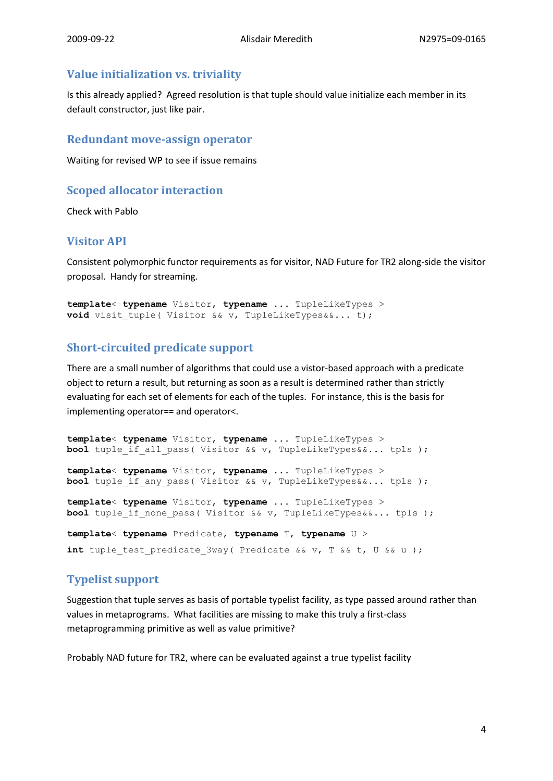# **Value initialization vs. triviality**

Is this already applied? Agreed resolution is that tuple should value initialize each member in its default constructor, just like pair.

## **Redundant move-assign operator**

Waiting for revised WP to see if issue remains

# **Scoped allocator interaction**

Check with Pablo

# **Visitor API**

Consistent polymorphic functor requirements as for visitor, NAD Future for TR2 along-side the visitor proposal. Handy for streaming.

```
template< typename Visitor, typename ... TupleLikeTypes >
void visit tuple( Visitor && v, TupleLikeTypes&&... t);
```
# **Short-circuited predicate support**

There are a small number of algorithms that could use a vistor-based approach with a predicate object to return a result, but returning as soon as a result is determined rather than strictly evaluating for each set of elements for each of the tuples. For instance, this is the basis for implementing operator== and operator<.

```
template< typename Visitor, typename ... TupleLikeTypes >
bool tuple if all pass( Visitor && v, TupleLikeTypes&&... tpls );
template< typename Visitor, typename ... TupleLikeTypes >
bool tuple if any pass( Visitor && v, TupleLikeTypes&&... tpls );
template< typename Visitor, typename ... TupleLikeTypes >
bool tuple if none pass( Visitor && v, TupleLikeTypes&&... tpls );
template< typename Predicate, typename T, typename U >
int tuple test predicate 3way( Predicate && v, T && t, U && u );
```
# **Typelist support**

Suggestion that tuple serves as basis of portable typelist facility, as type passed around rather than values in metaprograms. What facilities are missing to make this truly a first-class metaprogramming primitive as well as value primitive?

Probably NAD future for TR2, where can be evaluated against a true typelist facility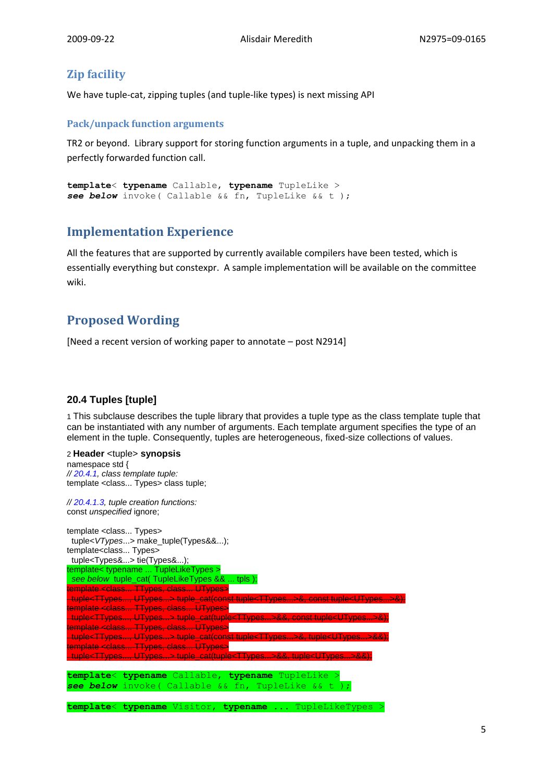# **Zip facility**

We have tuple-cat, zipping tuples (and tuple-like types) is next missing API

#### **Pack/unpack function arguments**

TR2 or beyond. Library support for storing function arguments in a tuple, and unpacking them in a perfectly forwarded function call.

```
template< typename Callable, typename TupleLike >
see below invoke( Callable && fn, TupleLike && t );
```
# **Implementation Experience**

All the features that are supported by currently available compilers have been tested, which is essentially everything but constexpr. A sample implementation will be available on the committee wiki.

# **Proposed Wording**

[Need a recent version of working paper to annotate – post N2914]

## **20.4 Tuples [tuple]**

1 This subclause describes the tuple library that provides a tuple type as the class template tuple that can be instantiated with any number of arguments. Each template argument specifies the type of an element in the tuple. Consequently, tuples are heterogeneous, fixed-size collections of values.

## 2 **Header** <tuple> **synopsis**

namespace std { *// 20.4.1, class template tuple:* template <class... Types> class tuple;

*// 20.4.1.3, tuple creation functions:* const *unspecified* ignore;

```
template <class... Types>
 tuple<VTypes...> make_tuple(Types&&...);
template<class... Types>
 tuple<Types&...> tie(Types&...);
template< typename ... TupleLikeTypes >
  see below tuple_cat( TupleLikeTypes && ... tpls );
template <class... TTypes, class... UTypes>
 tuple<TTypes..., UTypes...> tuple_cat(const tuple<TTypes...>&, const tuple<UTypes...>&);
template <class... TTypes, class... UTypes>
 tuple<TTypes..., UTypes...> tuple_cat(tuple<TTypes...>&&, const tuple<UTypes...>&);
template <class... TTypes, class... UTypes>
 tuple<TTypes..., UTypes...> tuple_cat(const tuple<TTypes...>&, tuple<UTypes...>&&);
template <class... TTypes, class... UTypes>
 tuple<TTypes..., UTypes...> tuple_cat(tuple<TTypes...>&&, tuple<UTypes...>&&);
template< typename Callable, typename TupleLike >
see below invoke( Callable && fn, TupleLike && t );
template< typename Visitor, typename ... TupleLikeTypes >
```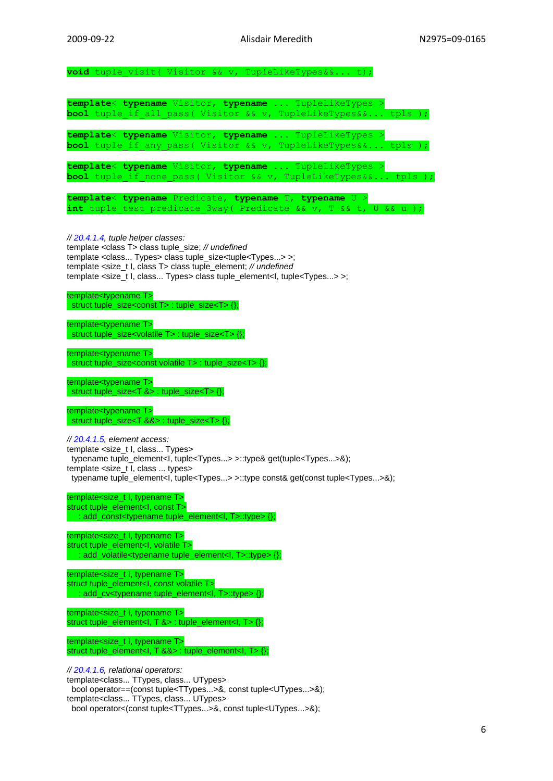void tuple visit( Visitor && v, TupleLikeTypes&&... t);

**template**< **typename** Visitor, **typename** ... TupleLikeTypes > **bool** tuple\_if\_all\_pass( Visitor && v, TupleLikeTypes&&... tpls );

**template**< **typename** Visitor, **typename** ... TupleLikeTypes > **bool** tuple if any pass( Visitor && v, TupleLikeTypes&&... tpls );

**template**< **typename** Visitor, **typename** ... TupleLikeTypes > **bool** tuple if none pass( Visitor && v, TupleLikeTypes&&... tpls );

|  |  | template< typename Predicate, typename T, typename U >                  |  |  |  |  |  |
|--|--|-------------------------------------------------------------------------|--|--|--|--|--|
|  |  | <b>int</b> tuple test predicate 3way( Predicate && v, T && t, U && u ); |  |  |  |  |  |

#### *// 20.4.1.4, tuple helper classes:*

template <class T> class tuple\_size; *// undefined* template <class... Types> class tuple\_size<tuple<Types...> >; template <size\_t I, class T> class tuple\_element; *// undefined* template <size\_t I, class... Types> class tuple\_element<I, tuple<Types...> >;

template<typename T> struct tuple\_size<const T> : tuple\_size<T>  $\{ \}$ ;

template<typename T> struct tuple\_size<volatile T> : tuple\_size<T> {};

template<typename T> struct tuple\_size<const volatile T> : tuple\_size<T> {};

template<typename T> struct tuple\_size<T  $>$  : tuple\_size<T > {};

template<typename T> struct tuple\_size<T &&> : tuple\_size<T> {};

*// 20.4.1.5, element access:* template <size\_t I, class... Types> typename tuple\_element<I, tuple<Types...> >::type& get(tuple<Types...>&); template <size\_t I, class ... types> typename tuple\_element<I, tuple<Types...> >::type const& get(const tuple<Types...>&);

template<size\_t I, typename T> struct tuple\_element<I, const T> : add\_const<typename tuple\_element<I, T>::type> {};

template<size\_t I, typename T> struct tuple\_element<I, volatile T> : add\_volatile<typename tuple\_element<I, T>::type> {};

template<size\_t I, typename T> struct tuple\_element<I, const volatile T> : add\_cv<typename tuple\_element<I, T>::type> {};

template<size\_t I, typename T> struct tuple\_element<I,  $T$  &> : tuple\_element<I,  $T > \{\}$ ;

template<size\_t I, typename T> struct tuple\_element<I,  $T$  &&> : tuple\_element<I,  $T > \{$ };

*// 20.4.1.6, relational operators:* template<class... TTypes, class... UTypes> bool operator==(const tuple<TTypes...>&, const tuple<UTypes...>&); template<class... TTypes, class... UTypes>

bool operator<(const tuple<TTypes...>&, const tuple<UTypes...>&);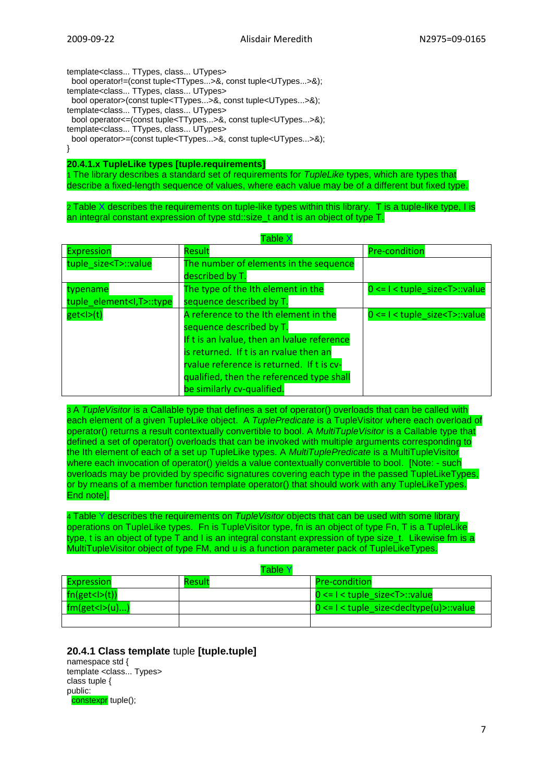template<class... TTypes, class... UTypes>

bool operator!=(const tuple<TTypes...>&, const tuple<UTypes...>&);

template<class... TTypes, class... UTypes>

bool operator>(const tuple<TTypes...>&, const tuple<UTypes...>&);

template<class... TTypes, class... UTypes>

bool operator<=(const tuple<TTypes...>&, const tuple<UTypes...>&);

template<class... TTypes, class... UTypes>

bool operator>=(const tuple<TTypes...>&, const tuple<UTypes...>&);

}

**20.4.1.x TupleLike types [tuple.requirements]**

1 The library describes a standard set of requirements for *TupleLike* types, which are types that describe a fixed-length sequence of values, where each value may be of a different but fixed type.

2 Table X describes the requirements on tuple-like types within this library. T is a tuple-like type, I is an integral constant expression of type std::size t and t is an object of type T.

| <b>Expression</b>               | Result                                      | <b>Pre-condition</b>                              |
|---------------------------------|---------------------------------------------|---------------------------------------------------|
| tuple size <t>::value</t>       | The number of elements in the sequence      |                                                   |
|                                 | described by T.                             |                                                   |
| typename                        | The type of the Ith element in the          | $0 \leq l \leq \text{tuple } size \leq T$ : value |
| tuple element <i,t>::type</i,t> | sequence described by T.                    |                                                   |
| get <l>(t)</l>                  | A reference to the Ith element in the       | $0 \leq l \leq \text{tuple size} \leq T$ : value  |
|                                 | sequence described by T.                    |                                                   |
|                                 | If t is an Ivalue, then an Ivalue reference |                                                   |
|                                 | is returned. If t is an rvalue then an      |                                                   |
|                                 | rvalue reference is returned. If t is cv-   |                                                   |
|                                 | qualified, then the referenced type shall   |                                                   |
|                                 | be similarly cv-qualified.                  |                                                   |

Table X

3 A *TupleVisitor* is a Callable type that defines a set of operator() overloads that can be called with each element of a given TupleLike object. A TuplePredicate is a TupleVisitor where each overload of operator() returns a result contextually convertible to bool. A *MultiTupleVisitor* is a Callable type that defined a set of operator() overloads that can be invoked with multiple arguments corresponding to the Ith element of each of a set up TupleLike types. A *MultiTuplePredicate* is a MultiTupleVisitor where each invocation of operator() yields a value contextually convertible to bool. [Note: - such overloads may be provided by specific signatures covering each type in the passed TupleLikeTypes, or by means of a member function template operator() that should work with any TupleLikeTypes. End note].

4 Table Y describes the requirements on *TupleVisitor* objects that can be used with some library operations on TupleLike types. Fn is TupleVisitor type, fn is an object of type Fn, T is a TupleLike type, t is an object of type T and I is an integral constant expression of type size t. Likewise fm is a MultiTupleVisitor object of type FM, and u is a function parameter pack of TupleLikeTypes.

|                   | Table ' |                                                                    |
|-------------------|---------|--------------------------------------------------------------------|
| <b>Expression</b> | Result  | <b>Pre-condition</b>                                               |
| fn(get < I>(t))   |         | $0 \le l \le \text{tuple size} \le T$ : value                      |
| fm(get< >(u))     |         | $0 \le l \le \text{tuple size} \le \text{dec}(u) \le \text{value}$ |
|                   |         |                                                                    |

## **20.4.1 Class template** tuple **[tuple.tuple]**

namespace std { template <class... Types> class tuple { public: constexpr tuple();

7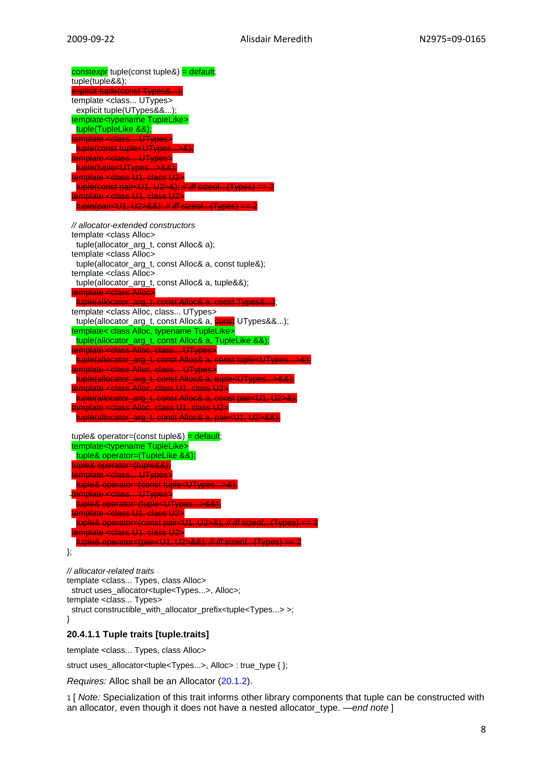*// allocator-extended constructors* template <class Alloc> tuple(allocator\_arg\_t, const Alloc& a); template <class Alloc> tuple(allocator\_arg\_t, const Alloc& a, const tuple&); template <class Alloc> tuple(allocator\_arg\_t, const Alloc& a, tuple&&); template <class Alloc>  $t$ uple(allocator\_arg\_t, const Alloc& a, const Types&...); template <class Alloc, class... UTypes> tuple(allocator\_arg\_t, const Alloc& a, **const** UTypes&&...); template< class Alloc, typename TupleLike> tuple(allocator\_arg\_t, const Alloc& a, TupleLike &&); template <class Alloc, class... UTypes> tuple(allocator\_arg\_t, const Alloc& a, const tuple<UTypes...>&); template <class Alloc, class... UTypes> tuple(allocator\_arg\_t, const Alloc& a, tuple<UTypes...>&&); template <class Alloc, class U1, class U2> tuple(allocator\_arg\_t, const Alloc& a, const pair<U1, U2>&); template <class Alloc, class U1, class U2> tuple(allocator\_arg\_t, const Alloc& a, pair<U1, U2>&&); tuple& operator=(const tuple&) =  $\text{default}$ ; template<typename TupleLike> tuple& operator=(TupleLike &&); tuple& operator=(tuple&&); template <class... UTypes> tuple& operator=(const tuple<UTypes...>&); template <class... UTypes>

tuple& operator=(tuple<UTyp template <class U1, class U2> tuple& operator=(const pair<U1, U2>&); *// iff* sizeof...(Types) == 2 template <class U1, class U2> tuple& operator=(pair<U1, U2>&&); *// iff* sizeof...(Types) == 2 };

*// allocator-related traits* template <class... Types, class Alloc> struct uses\_allocator<tuple<Types...>, Alloc>; template <class... Types> struct constructible\_with\_allocator\_prefix<tuple<Types...> >: }

## **20.4.1.1 Tuple traits [tuple.traits]**

template <class... Types, class Alloc>

struct uses\_allocator<tuple<Types...>, Alloc> : true\_type { };

*Requires:* Alloc shall be an Allocator (20.1.2).

1 [ *Note:* Specialization of this trait informs other library components that tuple can be constructed with an allocator, even though it does not have a nested allocator\_type. *—end note* ]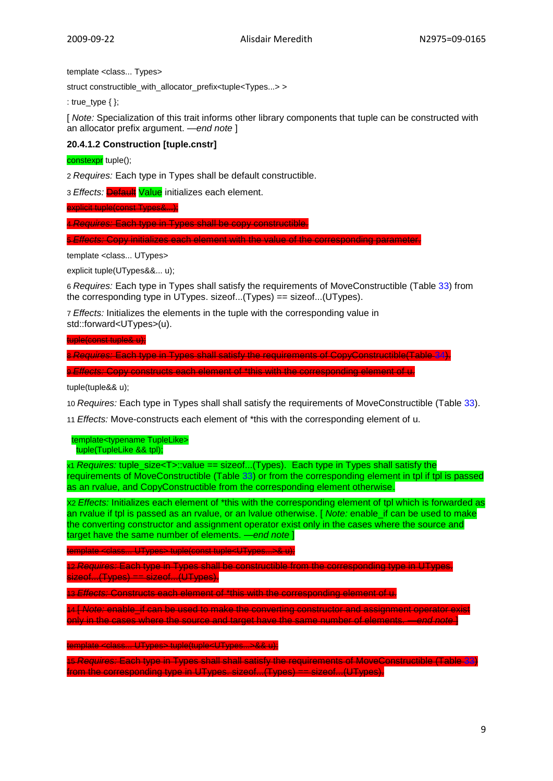template <class... Types>

struct constructible\_with\_allocator\_prefix<tuple<Types...> >

: true\_type  $\{\}$ ;

[ *Note:* Specialization of this trait informs other library components that tuple can be constructed with an allocator prefix argument. *—end note* ]

#### **20.4.1.2 Construction [tuple.cnstr]**

constexpr tuple();

2 *Requires:* Each type in Types shall be default constructible.

3 *Effects:* Default Value initializes each element.

explicit tuple(const Types&...);

4 *Requires:* Each type in Types shall be copy constructible.

5 *Effects:* Copy initializes each element with the value of the corresponding parameter.

template <class... UTypes>

explicit tuple(UTypes&&... u);

6 *Requires:* Each type in Types shall satisfy the requirements of MoveConstructible (Table 33) from the corresponding type in UTypes. sizeof...(Types) == sizeof...(UTypes).

7 *Effects:* Initializes the elements in the tuple with the corresponding value in std::forward<UTypes>(u).

tuple(const tuple& u);

8 *Requires:* Each type in Types shall satisfy the requirements of CopyConstructible(Table 34).

9 *Effects:* Copy constructs each element of \*this with the corresponding element of u.

tuple(tuple&& u);

10 *Requires:* Each type in Types shall shall satisfy the requirements of MoveConstructible (Table 33).

11 *Effects:* Move-constructs each element of \*this with the corresponding element of u.

 template<typename TupleLike> tuple(TupleLike && tpl);

x1 *Requires:* tuple\_size<T>::value == sizeof...(Types). Each type in Types shall satisfy the requirements of MoveConstructible (Table 33) or from the corresponding element in tpl if tpl is passed as an rvalue, and CopyConstructible from the corresponding element otherwise.

X2 *Effects:* Initializes each element of \*this with the corresponding element of tpl which is forwarded as an rvalue if tpl is passed as an rvalue, or an lvalue otherwise. [ *Note:* enable\_if can be used to make the converting constructor and assignment operator exist only in the cases where the source and target have the same number of elements. *—end note* ]

template <class... UTypes> tuple(const tuple<UTypes...>& u);

12 *Requires:* Each type in Types shall be constructible from the corresponding type in UTypes. sizeof...(Types) == sizeof...(UTypes).

13 *Effects:* Constructs each element of \*this with the corresponding element of u.

14 [ *Note:* enable\_if can be used to make the converting constructor and assignment operator exist only in the cases where the source and target have the same number of elements. *—end note* ]

template template template UTypes... >&& u);

15 *Requires:* Each type in Types shall shall satisfy the requirements of MoveConstructible (Table 33) from the corresponding type in UTypes. sizeof...(Types) == sizeof...(UTypes).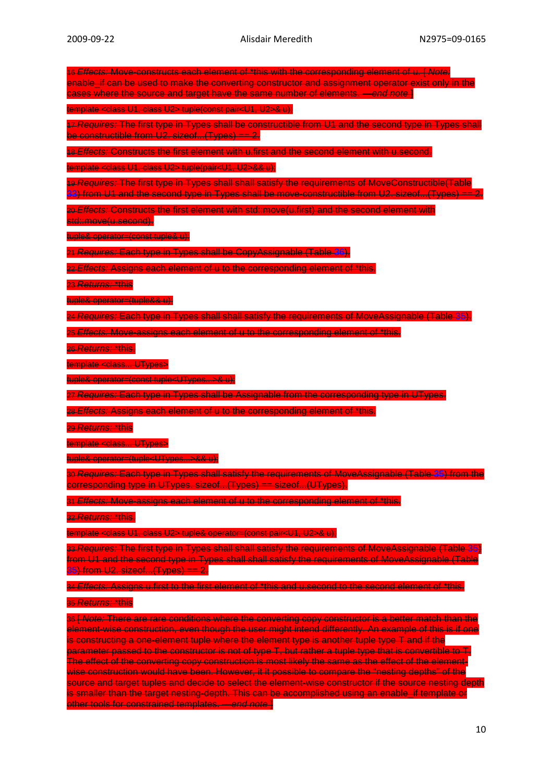16 *Effects:* Move-constructs each element of \*this with the corresponding element of u. [ *Note:* enable\_if can be used to make the converting constructor and assignment operator exist only in the cases where the source and target have the same number of elements. *—end note* ] template <class U1, class U2> tuple(const pair<U1, U2>& u); 17 *Requires:* The first type in Types shall be constructible from U1 and the second type in Types shall be constructible from U2. sizeof...(Types) == 2. 18 *Effects:* Constructs the first element with u.first and the second element with u.second. template <class U1, class U2> tuple(pair<U1, U2>&& u); 19 *Requires:* The first type in Types shall shall satisfy the requirements of MoveConstructible(Table 33) from U1 and the second type in Types shall be move-constructible from U2. sizeof...(Types) == 2 20 *Effects:* Constructs the first element with std::move(u.first) and the second element with std::move(u.second). tuple& operator=(const tuple& u); 21 *Requires:* Each type in Types shall be CopyAssignable (Table 36). 22 *Effects:* Assigns each element of u to the corresponding element of \*this. 23 *Returns:* \*this tuple& operator=(tuple&& u); 24 *Requires:* Each type in Types shall shall satisfy the requirements of MoveAssignable (Table 35). 25 *Effects:* Move-assigns each element of u to the corresponding element of \*this. 26 *Returns:* \*this. <del>late <class... UTypes></del> tuple& operator=(const tuple<UTypes...>& u); 27 *Requires:* Each type in Types shall be Assignable from the corresponding type in UTypes. 28 *Effects:* Assigns each element of u to the corresponding element of \*this. 29 *Returns:* \*this template <class... UTypes> tuple& operator=(tuple<UTypes...>&& u); 30 *Requires:* Each type in Types shall satisfy the requirements of MoveAssignable (Table 35) from the corresponding type in UTypes. sizeof...(Types) == sizeof...(UTypes). 31 *Effects:* Move-assigns each element of u to the corresponding element of \*this. 32 *Returns:* \*this. template <class U1, class U2> tuple& operator=(const pair<U1, U2>& u); 33 *Requires:* The first type in Types shall shall satisfy the requirements of MoveAssignable (Table 35) from U1 and the second type in Types shall shall satisfy the requirements of MoveAssignable (Table 35) from U2. sizeof...(Types) == 2. 34 *Effects:* Assigns u.first to the first element of \*this and u.second to the second element of \*this. 35 *Returns:* \*this 36 [ *Note:* There are rare conditions where the converting copy constructor is a better match than the element-wise construction, even though the user might intend differently. An example of this is if one is constructing a one-element tuple where the element type is another tuple type T and if the parameter passed to the constructor is not of type T, but rather a tuple type that is convertible to T The effect of the converting copy construction is most likely the same as the effect of the elementwise construction would have been. However, it it possible to compare the "nesting depths" of the source and target tuples and decide to select the element-wise constructor if the source nesting depth is smaller than the target nesting-depth. This can be accomplished using an enable\_if template or other tools for constrained templates. *—end note* ]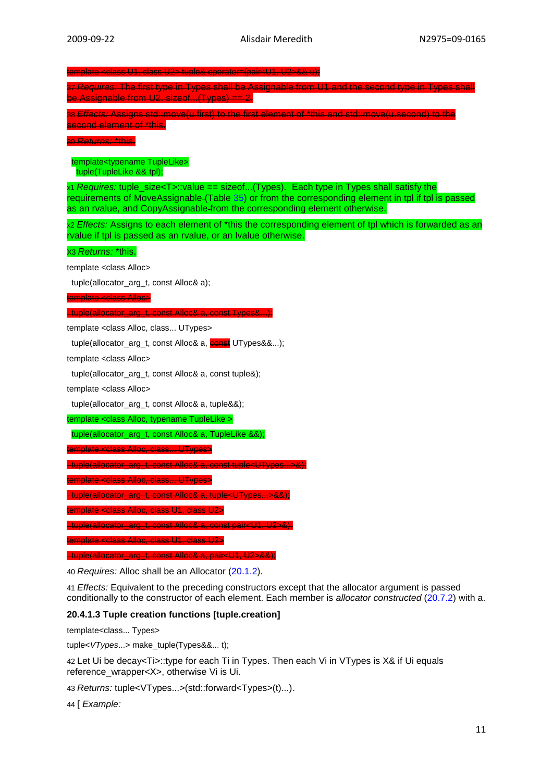template <class U1, class U2> tuple& operator=(pair<U1, U2>&& u); 37 *Requires:* The first type in Types shall be Assignable from U1 and the second type in Types shall be Assignable from U2. sizeof...(Types) == 2. 38 *Effects: Assigns std::move(u.first) to the first* second element of \*this. 39 *Returns:* \*this. template<typename TupleLike> tuple(TupleLike && tpl); x1 *Requires:* tuple\_size<T>::value == sizeof...(Types). Each type in Types shall satisfy the requirements of MoveAssignable (Table 35) or from the corresponding element in tpl if tpl is passed as an rvalue, and CopyAssignable from the corresponding element otherwise. x2 *Effects:* Assigns to each element of \*this the corresponding element of tpl which is forwarded as an rvalue if tpl is passed as an rvalue, or an lvalue otherwise. X3 *Returns:* \*this. template <class Alloc> tuple(allocator\_arg\_t, const Alloc& a); template <class Alloc> tuple(allocator\_arg\_t, const Alloc& a, const Types&...); template <class Alloc, class... UTypes> tuple(allocator\_arg\_t, const Alloc& a, const UTypes&&...); template <class Alloc> tuple(allocator\_arg\_t, const Alloc& a, const tuple&); template <class Alloc> tuple(allocator\_arg\_t, const Alloc& a, tuple&&); template <class Alloc, typename TupleLike > tuple(allocator\_arg\_t, const Alloc& a, TupleLike &&); emplate <class Alloc, class... UTypes> tuple(allocator\_arg\_t, const Alloc& a, const tuple<UTypes...>&); template <class Alloc, class... UTypes> tuple(allocator\_arg\_t, const Alloc& a, tuple<UTypes...>&&); ate <class Alloc, class U1, class U2

 $\text{const}$  pairs 11,  $112\text{ s}$ 

template <class Alloc, class U1, class U2>

tuple(allocator\_arg\_t, const Alloc& a, pair<U1, U2>&&);

40 *Requires:* Alloc shall be an Allocator (20.1.2).

41 *Effects:* Equivalent to the preceding constructors except that the allocator argument is passed conditionally to the constructor of each element. Each member is *allocator constructed* (20.7.2) with a.

#### **20.4.1.3 Tuple creation functions [tuple.creation]**

template<class... Types>

tuple<*VTypes*...> make\_tuple(Types&&... t);

42 Let Ui be decay<Ti>::type for each Ti in Types. Then each Vi in VTypes is X& if Ui equals reference\_wrapper<X>, otherwise Vi is Ui.

43 *Returns:* tuple<VTypes...>(std::forward<Types>(t)...).

44 [ *Example:*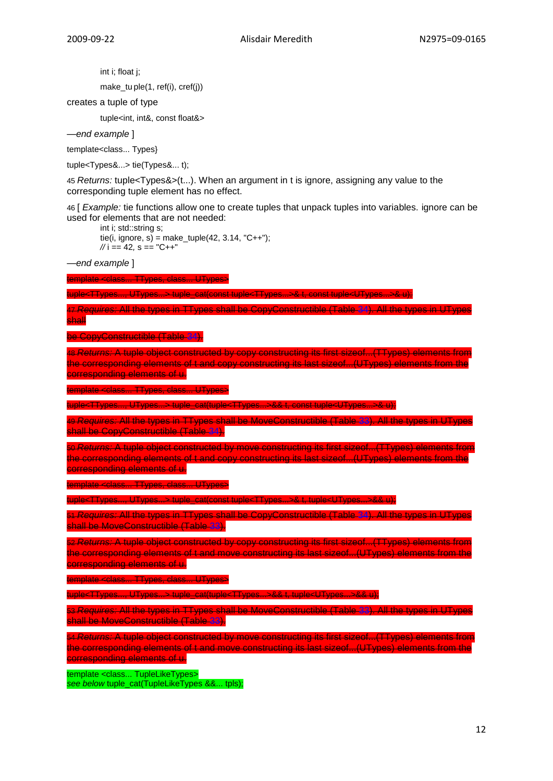int i; float j;

make\_tu ple(1, ref(i), cref(j))

creates a tuple of type

tuple<int, int&, const float&>

*—end example* ]

template<class... Types}

tuple<Types&...> tie(Types&... t);

45 *Returns:* tuple<Types&>(t...). When an argument in t is ignore, assigning any value to the corresponding tuple element has no effect.

46 [ *Example:* tie functions allow one to create tuples that unpack tuples into variables. ignore can be used for elements that are not needed:

int i; std::string s; tie(i, ignore, s) = make\_tuple(42, 3.14, "C++"); *//* i == 42*,* s == "C++"

*—end example* ]

emplate <class... TTypes, class... UTypes>

tuple<TTypes..., UTypes...> tuple\_cat(const tuple<TTypes...>& t, const tuple<UTypes...>& u);

#### 47 *Requires:* All the types in TTypes shall be CopyConstructible (Table 34). All the types in UTypes shall

be CopyConstructible (Table 34).

48 *Returns:* A tuple object constructed by copy constructing its first sizeof...(TTypes) elements from the corresponding elements of t and copy constructing its last sizeof...(UTypes) elements from the corresponding elements of u.

emplate <class... TTypes, class... UTypes>

tuple<TTypes..., UTypes...> tuple\_cat(tuple<TTypes...>&& t, const tuple<UTypes...>& u);

49 *Requires:* All the types in TTypes shall be MoveConstructible (Table 33). All the types in UTypes shall be CopyConstructible (Table 34).

50 *Returns:* A tuple object constructed by move constructing its first sizeof...(TTypes) elements from the corresponding elements of t and copy constructing its last sizeof...(UTypes) elements from the corresponding elements of u.

template <class... TTypes, class... UTypes>

tuple<TTypes..., UTypes...> tuple\_cat(const tuple<TTypes...

51 *Requires:* All the types in TTypes shall be CopyConstructible (Table 34). All the types in UTypes shall be MoveConstructible (Table 33).

52 *Returns:* A tuple object constructed by copy constructing its first sizeof...(TTypes) elements from the corresponding elements of t and move constructing its last sizeof...(UTypes) elements from the corresponding elements of u.

template <class... TTypes, class... UTypes>

tuple<TTypes..., UTypes...> tuple\_cat(tuple<TTypes...>&& t, tuple<UTypes...>&& u);

53 *Requires:* All the types in TTypes shall be MoveConstructible (Table 33). All the types in UTypes shall be MoveConstructible (Table 33).

54 *Returns:* A tuple object constructed by move constructing its first sizeof...(TTypes) elements from the corresponding elements of t and move constructing its last sizeof...(UTypes) elements from the orresponding elements of **u**.

template <class... TupleLikeTypes> *see below* tuple\_cat(TupleLikeTypes &&... tpls);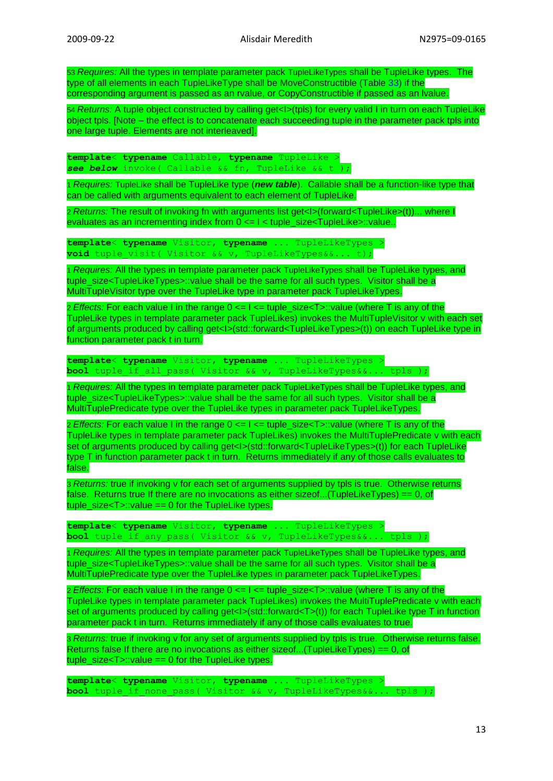53 *Requires:* All the types in template parameter pack TupleLikeTypes shall be TupleLike types. The type of all elements in each TupleLikeType shall be MoveConstructible (Table 33) if the corresponding argument is passed as an rvalue, or CopyConstructible if passed as an lvalue.

54 *Returns:* A tuple object constructed by calling get<I>(tpls) for every valid I in turn on each TupleLike object tpls. [Note – the effect is to concatenate each succeeding tuple in the parameter pack tpls into one large tuple. Elements are not interleaved].

**template**< **typename** Callable, **typename** TupleLike > *see below* invoke( Callable && fn, TupleLike && t );

1 *Requires:* TupleLike shall be TupleLike type (*new table*). Callable shall be a function-like type that can be called with arguments equivalent to each element of TupleLike.

2 *Returns:* The result of invoking fn with arguments list get<I>(forward<TupleLike>(t))... where I evaluates as an incrementing index from  $0 \le -1 \le$  tuple size $\le$ TupleLike>::value..

**template**< **typename** Visitor, **typename** ... TupleLikeTypes > void tuple visit( Visitor && v, TupleLikeTypes&&... t);

1 *Requires:* All the types in template parameter pack TupleLikeTypes shall be TupleLike types, and tuple\_size<TupleLikeTypes>::value shall be the same for all such types. Visitor shall be a MultiTupleVisitor type over the TupleLike type in parameter pack TupleLikeTypes.

2 *Effects:* For each value I in the range  $0 \le l \le \text{tuple}$  size $\lt$ T>::value (where T is any of the TupleLike types in template parameter pack TupleLikes) invokes the MultiTupleVisitor v with each set of arguments produced by calling get<I>(std::forward<TupleLikeTypes>(t)) on each TupleLike type in function parameter pack t in turn.

**template**< **typename** Visitor, **typename** ... TupleLikeTypes > **bool** tuple if all pass( Visitor && v, TupleLikeTypes&&... tpls );

1 *Requires:* All the types in template parameter pack TupleLikeTypes shall be TupleLike types, and tuple\_size<TupleLikeTypes>::value shall be the same for all such types. Visitor shall be a MultiTuplePredicate type over the TupleLike types in parameter pack TupleLikeTypes.

2 *Effects:* For each value I in the range  $0 \le l \le t$  tuple size $\le T$ >::value (where T is any of the TupleLike types in template parameter pack TupleLikes) invokes the MultiTuplePredicate v with each set of arguments produced by calling get<l>(std::forward<TupleLikeTypes>(t)) for each TupleLike type T in function parameter pack t in turn. Returns immediately if any of those calls evaluates to false.

3 *Returns:* true if invoking v for each set of arguments supplied by tpls is true. Otherwise returns false. Returns true If there are no invocations as either sizeof...(TupleLikeTypes) == 0, of tuple\_size<T>::value == 0 for the TupleLike types.

**template**< **typename** Visitor, **typename** ... TupleLikeTypes > **bool** tuple if any pass( Visitor && v, TupleLikeTypes&&... tpls );

1 *Requires:* All the types in template parameter pack TupleLikeTypes shall be TupleLike types, and tuple\_size<TupleLikeTypes>::value shall be the same for all such types. Visitor shall be a MultiTuplePredicate type over the TupleLike types in parameter pack TupleLikeTypes.

2 *Effects:* For each value I in the range 0 <= I <= tuple\_size<T>::value (where T is any of the TupleLike types in template parameter pack TupleLikes) invokes the MultiTuplePredicate v with each set of arguments produced by calling get<I>(std::forward<T>(t)) for each TupleLike type T in function parameter pack t in turn. Returns immediately if any of those calls evaluates to true.

3 *Returns:* true if invoking v for any set of arguments supplied by tpls is true. Otherwise returns false. Returns false If there are no invocations as either sizeof...(TupleLikeTypes) == 0, of tuple\_size<T>::value == 0 for the TupleLike types.

**template**< **typename** Visitor, **typename** ... TupleLikeTypes > **bool** tuple if none pass( Visitor && v, TupleLikeTypes&&... tpls );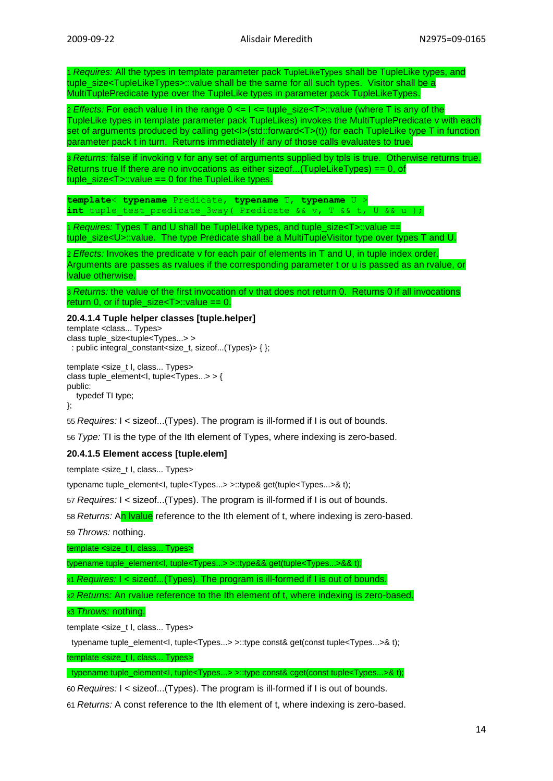1 *Requires:* All the types in template parameter pack TupleLikeTypes shall be TupleLike types, and tuple\_size<TupleLikeTypes>::value shall be the same for all such types. Visitor shall be a MultiTuplePredicate type over the TupleLike types in parameter pack TupleLikeTypes.

2 *Effects:* For each value I in the range  $0 \le l \le \text{tuple}$  size $\lt$ T>::value (where T is any of the TupleLike types in template parameter pack TupleLikes) invokes the MultiTuplePredicate v with each set of arguments produced by calling get<I>(std::forward<T>(t)) for each TupleLike type T in function parameter pack t in turn. Returns immediately if any of those calls evaluates to true.

3 *Returns:* false if invoking v for any set of arguments supplied by tpls is true. Otherwise returns true. Returns true If there are no invocations as either sizeof...(TupleLikeTypes)  $== 0$ , of tuple\_size<T>::value == 0 for the TupleLike types.

**template**< **typename** Predicate, **typename** T, **typename** U > int tuple test predicate 3way( Predicate && v, T && t, U && u );

1 *Requires:* Types T and U shall be TupleLike types, and tuple\_size<T>::value == tuple\_size<U>::value. The type Predicate shall be a MultiTupleVisitor type over types T and U.

2 *Effects:* Invokes the predicate v for each pair of elements in T and U, in tuple index order. Arguments are passes as rvalues if the corresponding parameter t or u is passed as an rvalue, or lvalue otherwise.

3 *Returns:* the value of the first invocation of v that does not return 0. Returns 0 if all invocations return 0, or if tuple\_size< $T$ >::value == 0.

#### **20.4.1.4 Tuple helper classes [tuple.helper]**

template <class... Types> class tuple\_size<tuple<Types...> > : public integral\_constant<size\_t, sizeof...(Types)> { };

template <size\_t I, class... Types> class tuple\_element<I, tuple<Types...> > { public: typedef TI type;

};

55 *Requires:* I < sizeof...(Types). The program is ill-formed if I is out of bounds.

56 *Type:* TI is the type of the Ith element of Types, where indexing is zero-based.

## **20.4.1.5 Element access [tuple.elem]**

template <size\_t I, class... Types>

typename tuple\_element<l, tuple<Types...> >::type& get(tuple<Types...>& t);

57 *Requires:* I < sizeof...(Types). The program is ill-formed if I is out of bounds.

58 *Returns:* An lvalue reference to the Ith element of t, where indexing is zero-based.

59 *Throws:* nothing.

template <size\_t I, class... Types>

typename tuple\_element<I, tuple<Types...> >::type&& get(tuple<Types...>&& t);

x1 *Requires:* I < sizeof...(Types). The program is ill-formed if I is out of bounds.

x2 *Returns:* An rvalue reference to the Ith element of t, where indexing is zero-based.

x3 *Throws:* nothing.

template <size\_t I, class... Types>

typename tuple\_element<I, tuple<Types...> >::type const& get(const tuple<Types...>& t);

template <size\_t I, class... Types>

typename tuple\_element<I, tuple<Types...> >::type const& cget(const tuple<Types...>& t);

60 *Requires:* I < sizeof...(Types). The program is ill-formed if I is out of bounds.

61 *Returns:* A const reference to the Ith element of t, where indexing is zero-based.